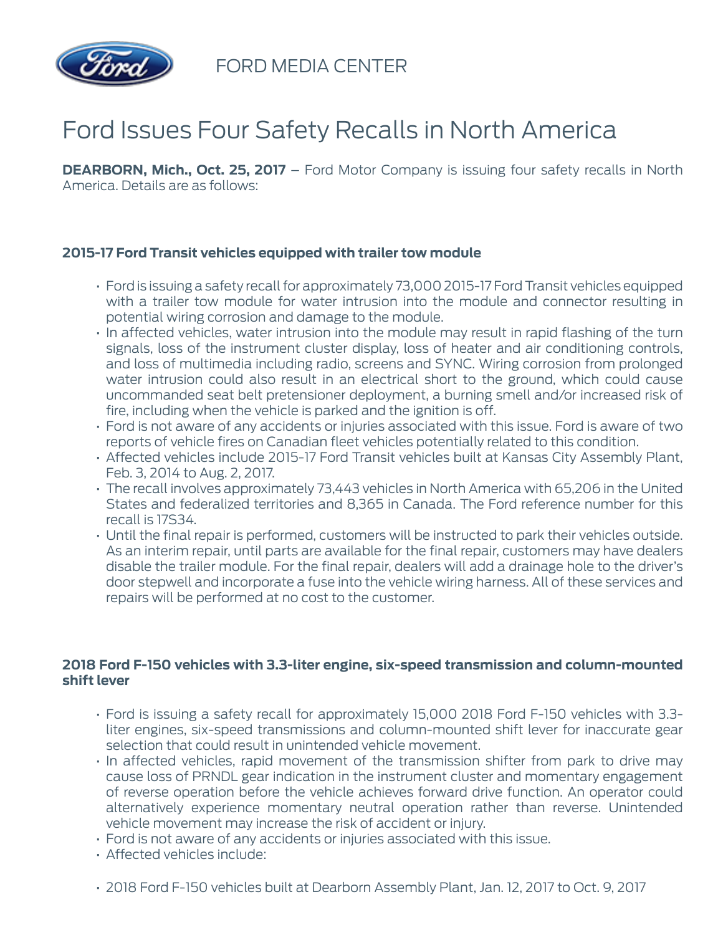

FORD MEDIA CENTER

# Ford Issues Four Safety Recalls in North America

**DEARBORN, Mich., Oct. 25, 2017** – Ford Motor Company is issuing four safety recalls in North America. Details are as follows:

### **2015-17 Ford Transit vehicles equipped with trailer tow module**

- Ford is issuing a safety recall for approximately 73,000 2015-17 Ford Transit vehicles equipped with a trailer tow module for water intrusion into the module and connector resulting in potential wiring corrosion and damage to the module.
- In affected vehicles, water intrusion into the module may result in rapid flashing of the turn signals, loss of the instrument cluster display, loss of heater and air conditioning controls, and loss of multimedia including radio, screens and SYNC. Wiring corrosion from prolonged water intrusion could also result in an electrical short to the ground, which could cause uncommanded seat belt pretensioner deployment, a burning smell and/or increased risk of fire, including when the vehicle is parked and the ignition is off.
- Ford is not aware of any accidents or injuries associated with this issue. Ford is aware of two reports of vehicle fires on Canadian fleet vehicles potentially related to this condition.
- Affected vehicles include 2015-17 Ford Transit vehicles built at Kansas City Assembly Plant, Feb. 3, 2014 to Aug. 2, 2017.
- The recall involves approximately 73,443 vehicles in North America with 65,206 in the United States and federalized territories and 8,365 in Canada. The Ford reference number for this recall is 17S34.
- Until the final repair is performed, customers will be instructed to park their vehicles outside. As an interim repair, until parts are available for the final repair, customers may have dealers disable the trailer module. For the final repair, dealers will add a drainage hole to the driver's door stepwell and incorporate a fuse into the vehicle wiring harness. All of these services and repairs will be performed at no cost to the customer.

#### **2018 Ford F-150 vehicles with 3.3-liter engine, six-speed transmission and column-mounted shift lever**

- Ford is issuing a safety recall for approximately 15,000 2018 Ford F-150 vehicles with 3.3 liter engines, six-speed transmissions and column-mounted shift lever for inaccurate gear selection that could result in unintended vehicle movement.
- In affected vehicles, rapid movement of the transmission shifter from park to drive may cause loss of PRNDL gear indication in the instrument cluster and momentary engagement of reverse operation before the vehicle achieves forward drive function. An operator could alternatively experience momentary neutral operation rather than reverse. Unintended vehicle movement may increase the risk of accident or injury.
- Ford is not aware of any accidents or injuries associated with this issue.
- Affected vehicles include:
- 2018 Ford F-150 vehicles built at Dearborn Assembly Plant, Jan. 12, 2017 to Oct. 9, 2017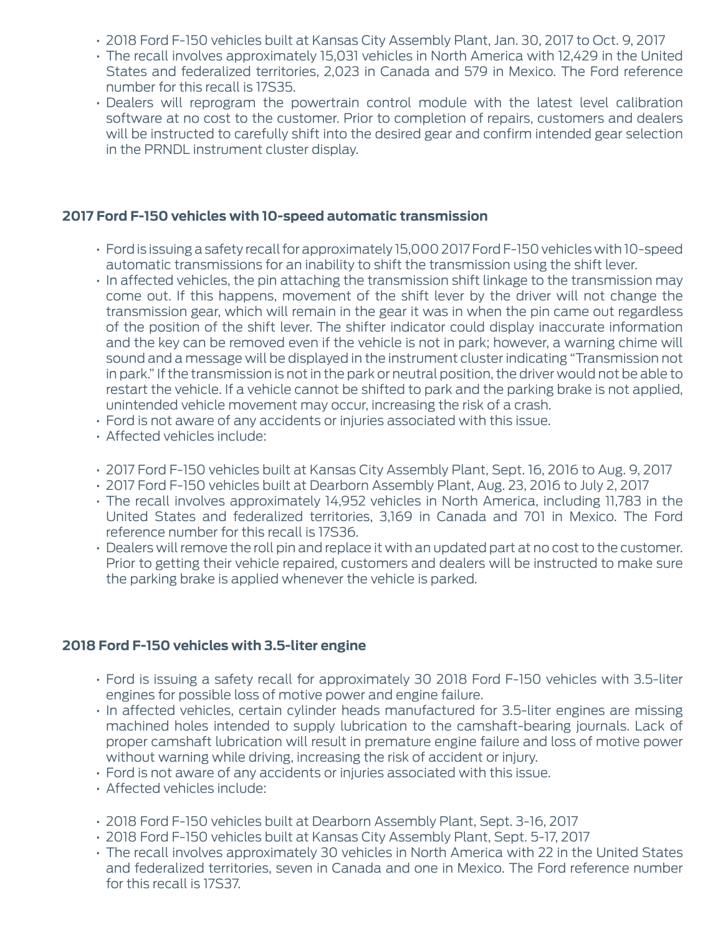- 2018 Ford F-150 vehicles built at Kansas City Assembly Plant, Jan. 30, 2017 to Oct. 9, 2017
- The recall involves approximately 15,031 vehicles in North America with 12,429 in the United States and federalized territories, 2,023 in Canada and 579 in Mexico. The Ford reference number for this recall is 17S35.
- Dealers will reprogram the powertrain control module with the latest level calibration software at no cost to the customer. Prior to completion of repairs, customers and dealers will be instructed to carefully shift into the desired gear and confirm intended gear selection in the PRNDL instrument cluster display.

#### **2017 Ford F-150 vehicles with 10-speed automatic transmission**

- Ford is issuing a safety recall for approximately 15,000 2017 Ford F-150 vehicles with 10-speed automatic transmissions for an inability to shift the transmission using the shift lever.
- In affected vehicles, the pin attaching the transmission shift linkage to the transmission may come out. If this happens, movement of the shift lever by the driver will not change the transmission gear, which will remain in the gear it was in when the pin came out regardless of the position of the shift lever. The shifter indicator could display inaccurate information and the key can be removed even if the vehicle is not in park; however, a warning chime will sound and a message will be displayed in the instrument cluster indicating "Transmission not in park." If the transmission is not in the park or neutral position, the driver would not be able to restart the vehicle. If a vehicle cannot be shifted to park and the parking brake is not applied, unintended vehicle movement may occur, increasing the risk of a crash.
- Ford is not aware of any accidents or injuries associated with this issue.
- Affected vehicles include:
- 2017 Ford F-150 vehicles built at Kansas City Assembly Plant, Sept. 16, 2016 to Aug. 9, 2017
- 2017 Ford F-150 vehicles built at Dearborn Assembly Plant, Aug. 23, 2016 to July 2, 2017
- The recall involves approximately 14,952 vehicles in North America, including 11,783 in the United States and federalized territories, 3,169 in Canada and 701 in Mexico. The Ford reference number for this recall is 17S36.
- Dealers will remove the roll pin and replace it with an updated part at no cost to the customer. Prior to getting their vehicle repaired, customers and dealers will be instructed to make sure the parking brake is applied whenever the vehicle is parked.

## **2018 Ford F-150 vehicles with 3.5-liter engine**

- Ford is issuing a safety recall for approximately 30 2018 Ford F-150 vehicles with 3.5-liter engines for possible loss of motive power and engine failure.
- In affected vehicles, certain cylinder heads manufactured for 3.5-liter engines are missing machined holes intended to supply lubrication to the camshaft-bearing journals. Lack of proper camshaft lubrication will result in premature engine failure and loss of motive power without warning while driving, increasing the risk of accident or injury.
- Ford is not aware of any accidents or injuries associated with this issue.
- Affected vehicles include:
- 2018 Ford F-150 vehicles built at Dearborn Assembly Plant, Sept. 3-16, 2017
- 2018 Ford F-150 vehicles built at Kansas City Assembly Plant, Sept. 5-17, 2017
- The recall involves approximately 30 vehicles in North America with 22 in the United States and federalized territories, seven in Canada and one in Mexico. The Ford reference number for this recall is 17S37.